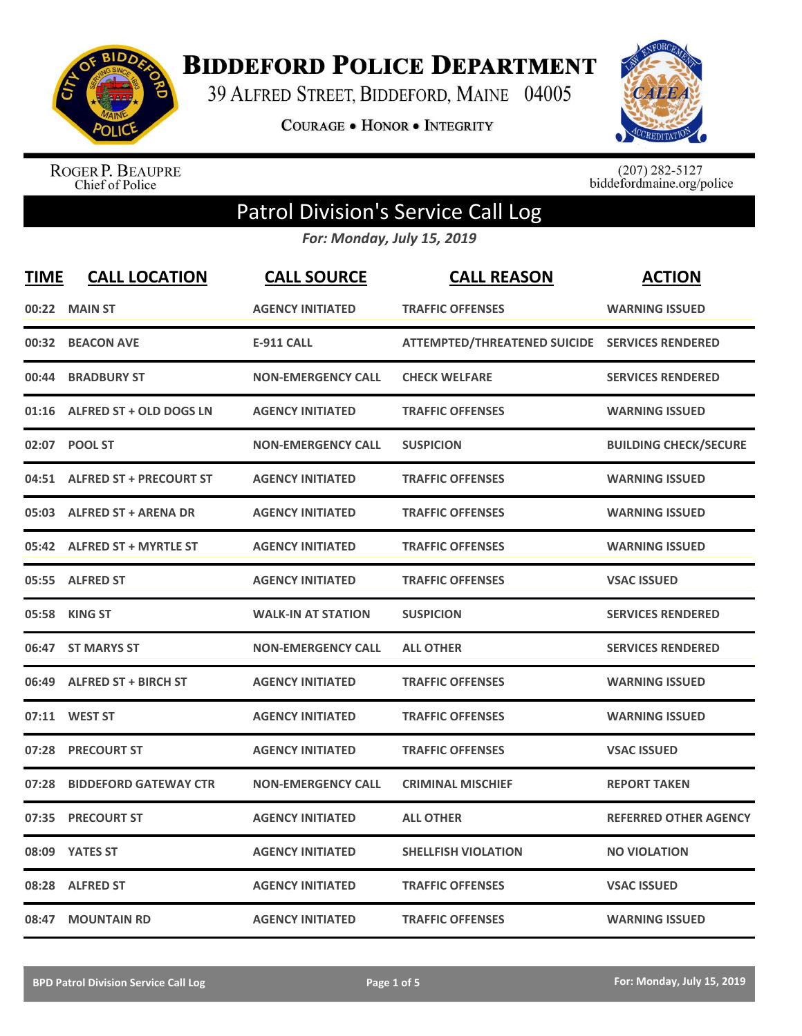

**BIDDEFORD POLICE DEPARTMENT** 

39 ALFRED STREET, BIDDEFORD, MAINE 04005

**COURAGE . HONOR . INTEGRITY** 



ROGER P. BEAUPRE<br>Chief of Police

 $(207)$  282-5127<br>biddefordmaine.org/police

## Patrol Division's Service Call Log

*For: Monday, July 15, 2019*

| <b>TIME</b> | <b>CALL LOCATION</b>           | <b>CALL SOURCE</b>        | <b>CALL REASON</b>                             | <b>ACTION</b>                |
|-------------|--------------------------------|---------------------------|------------------------------------------------|------------------------------|
| 00:22       | <b>MAIN ST</b>                 | <b>AGENCY INITIATED</b>   | <b>TRAFFIC OFFENSES</b>                        | <b>WARNING ISSUED</b>        |
| 00:32       | <b>BEACON AVE</b>              | <b>E-911 CALL</b>         | ATTEMPTED/THREATENED SUICIDE SERVICES RENDERED |                              |
| 00:44       | <b>BRADBURY ST</b>             | <b>NON-EMERGENCY CALL</b> | <b>CHECK WELFARE</b>                           | <b>SERVICES RENDERED</b>     |
| 01:16       | <b>ALFRED ST + OLD DOGS LN</b> | <b>AGENCY INITIATED</b>   | <b>TRAFFIC OFFENSES</b>                        | <b>WARNING ISSUED</b>        |
| 02:07       | <b>POOL ST</b>                 | <b>NON-EMERGENCY CALL</b> | <b>SUSPICION</b>                               | <b>BUILDING CHECK/SECURE</b> |
|             | 04:51 ALFRED ST + PRECOURT ST  | <b>AGENCY INITIATED</b>   | <b>TRAFFIC OFFENSES</b>                        | <b>WARNING ISSUED</b>        |
|             | 05:03 ALFRED ST + ARENA DR     | <b>AGENCY INITIATED</b>   | <b>TRAFFIC OFFENSES</b>                        | <b>WARNING ISSUED</b>        |
|             | 05:42 ALFRED ST + MYRTLE ST    | <b>AGENCY INITIATED</b>   | <b>TRAFFIC OFFENSES</b>                        | <b>WARNING ISSUED</b>        |
|             | 05:55 ALFRED ST                | <b>AGENCY INITIATED</b>   | <b>TRAFFIC OFFENSES</b>                        | <b>VSAC ISSUED</b>           |
|             | 05:58 KING ST                  | <b>WALK-IN AT STATION</b> | <b>SUSPICION</b>                               | <b>SERVICES RENDERED</b>     |
|             | 06:47 ST MARYS ST              | <b>NON-EMERGENCY CALL</b> | <b>ALL OTHER</b>                               | <b>SERVICES RENDERED</b>     |
|             | 06:49 ALFRED ST + BIRCH ST     | <b>AGENCY INITIATED</b>   | <b>TRAFFIC OFFENSES</b>                        | <b>WARNING ISSUED</b>        |
| 07:11       | <b>WEST ST</b>                 | <b>AGENCY INITIATED</b>   | <b>TRAFFIC OFFENSES</b>                        | <b>WARNING ISSUED</b>        |
| 07:28       | <b>PRECOURT ST</b>             | <b>AGENCY INITIATED</b>   | <b>TRAFFIC OFFENSES</b>                        | <b>VSAC ISSUED</b>           |
| 07:28       | <b>BIDDEFORD GATEWAY CTR</b>   | <b>NON-EMERGENCY CALL</b> | <b>CRIMINAL MISCHIEF</b>                       | <b>REPORT TAKEN</b>          |
| 07:35       | <b>PRECOURT ST</b>             | <b>AGENCY INITIATED</b>   | <b>ALL OTHER</b>                               | <b>REFERRED OTHER AGENCY</b> |
| 08:09       | <b>YATES ST</b>                | <b>AGENCY INITIATED</b>   | <b>SHELLFISH VIOLATION</b>                     | <b>NO VIOLATION</b>          |
| 08:28       | <b>ALFRED ST</b>               | <b>AGENCY INITIATED</b>   | <b>TRAFFIC OFFENSES</b>                        | <b>VSAC ISSUED</b>           |
| 08:47       | <b>MOUNTAIN RD</b>             | <b>AGENCY INITIATED</b>   | <b>TRAFFIC OFFENSES</b>                        | <b>WARNING ISSUED</b>        |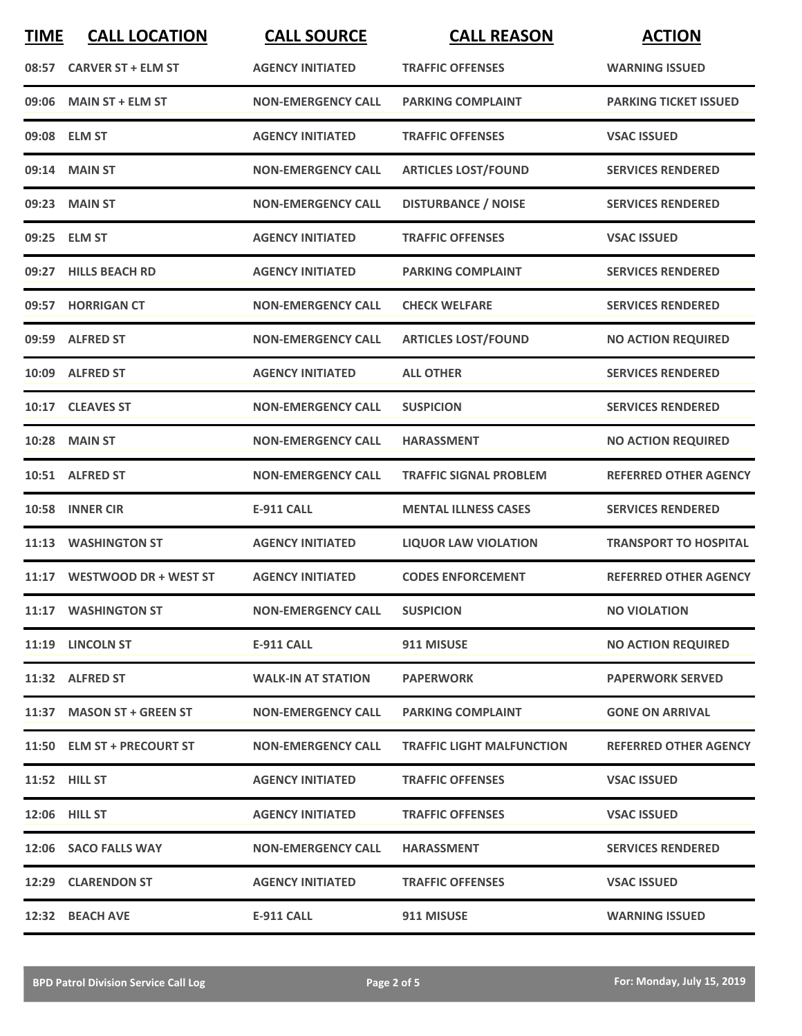| <b>TIME</b> | <b>CALL LOCATION</b>        | <b>CALL SOURCE</b>        | <b>CALL REASON</b>               | <b>ACTION</b>                |
|-------------|-----------------------------|---------------------------|----------------------------------|------------------------------|
| 08:57       | <b>CARVER ST + ELM ST</b>   | <b>AGENCY INITIATED</b>   | <b>TRAFFIC OFFENSES</b>          | <b>WARNING ISSUED</b>        |
|             | 09:06 MAIN ST + ELM ST      | <b>NON-EMERGENCY CALL</b> | <b>PARKING COMPLAINT</b>         | <b>PARKING TICKET ISSUED</b> |
|             | 09:08 ELM ST                | <b>AGENCY INITIATED</b>   | <b>TRAFFIC OFFENSES</b>          | <b>VSAC ISSUED</b>           |
|             | 09:14 MAIN ST               | <b>NON-EMERGENCY CALL</b> | <b>ARTICLES LOST/FOUND</b>       | <b>SERVICES RENDERED</b>     |
|             | 09:23 MAIN ST               | <b>NON-EMERGENCY CALL</b> | <b>DISTURBANCE / NOISE</b>       | <b>SERVICES RENDERED</b>     |
|             | 09:25 ELM ST                | <b>AGENCY INITIATED</b>   | <b>TRAFFIC OFFENSES</b>          | <b>VSAC ISSUED</b>           |
|             | 09:27 HILLS BEACH RD        | <b>AGENCY INITIATED</b>   | <b>PARKING COMPLAINT</b>         | <b>SERVICES RENDERED</b>     |
|             | 09:57 HORRIGAN CT           | <b>NON-EMERGENCY CALL</b> | <b>CHECK WELFARE</b>             | <b>SERVICES RENDERED</b>     |
|             | 09:59 ALFRED ST             | <b>NON-EMERGENCY CALL</b> | <b>ARTICLES LOST/FOUND</b>       | <b>NO ACTION REQUIRED</b>    |
|             | 10:09 ALFRED ST             | <b>AGENCY INITIATED</b>   | <b>ALL OTHER</b>                 | <b>SERVICES RENDERED</b>     |
|             | 10:17 CLEAVES ST            | <b>NON-EMERGENCY CALL</b> | <b>SUSPICION</b>                 | <b>SERVICES RENDERED</b>     |
|             | <b>10:28 MAIN ST</b>        | <b>NON-EMERGENCY CALL</b> | <b>HARASSMENT</b>                | <b>NO ACTION REQUIRED</b>    |
|             | 10:51 ALFRED ST             | <b>NON-EMERGENCY CALL</b> | <b>TRAFFIC SIGNAL PROBLEM</b>    | <b>REFERRED OTHER AGENCY</b> |
| 10:58       | <b>INNER CIR</b>            | <b>E-911 CALL</b>         | <b>MENTAL ILLNESS CASES</b>      | <b>SERVICES RENDERED</b>     |
| 11:13       | <b>WASHINGTON ST</b>        | <b>AGENCY INITIATED</b>   | <b>LIQUOR LAW VIOLATION</b>      | <b>TRANSPORT TO HOSPITAL</b> |
|             | 11:17 WESTWOOD DR + WEST ST | <b>AGENCY INITIATED</b>   | <b>CODES ENFORCEMENT</b>         | <b>REFERRED OTHER AGENCY</b> |
|             | 11:17 WASHINGTON ST         | <b>NON-EMERGENCY CALL</b> | <b>SUSPICION</b>                 | <b>NO VIOLATION</b>          |
|             | 11:19 LINCOLN ST            | <b>E-911 CALL</b>         | 911 MISUSE                       | <b>NO ACTION REQUIRED</b>    |
|             | 11:32 ALFRED ST             | <b>WALK-IN AT STATION</b> | <b>PAPERWORK</b>                 | <b>PAPERWORK SERVED</b>      |
|             | 11:37 MASON ST + GREEN ST   | <b>NON-EMERGENCY CALL</b> | <b>PARKING COMPLAINT</b>         | <b>GONE ON ARRIVAL</b>       |
|             | 11:50 ELM ST + PRECOURT ST  | <b>NON-EMERGENCY CALL</b> | <b>TRAFFIC LIGHT MALFUNCTION</b> | <b>REFERRED OTHER AGENCY</b> |
|             | <b>11:52 HILL ST</b>        | <b>AGENCY INITIATED</b>   | <b>TRAFFIC OFFENSES</b>          | <b>VSAC ISSUED</b>           |
|             | 12:06 HILL ST               | <b>AGENCY INITIATED</b>   | <b>TRAFFIC OFFENSES</b>          | <b>VSAC ISSUED</b>           |
|             | 12:06 SACO FALLS WAY        | <b>NON-EMERGENCY CALL</b> | <b>HARASSMENT</b>                | <b>SERVICES RENDERED</b>     |
|             | 12:29 CLARENDON ST          | <b>AGENCY INITIATED</b>   | <b>TRAFFIC OFFENSES</b>          | <b>VSAC ISSUED</b>           |
|             | 12:32 BEACH AVE             | <b>E-911 CALL</b>         | 911 MISUSE                       | <b>WARNING ISSUED</b>        |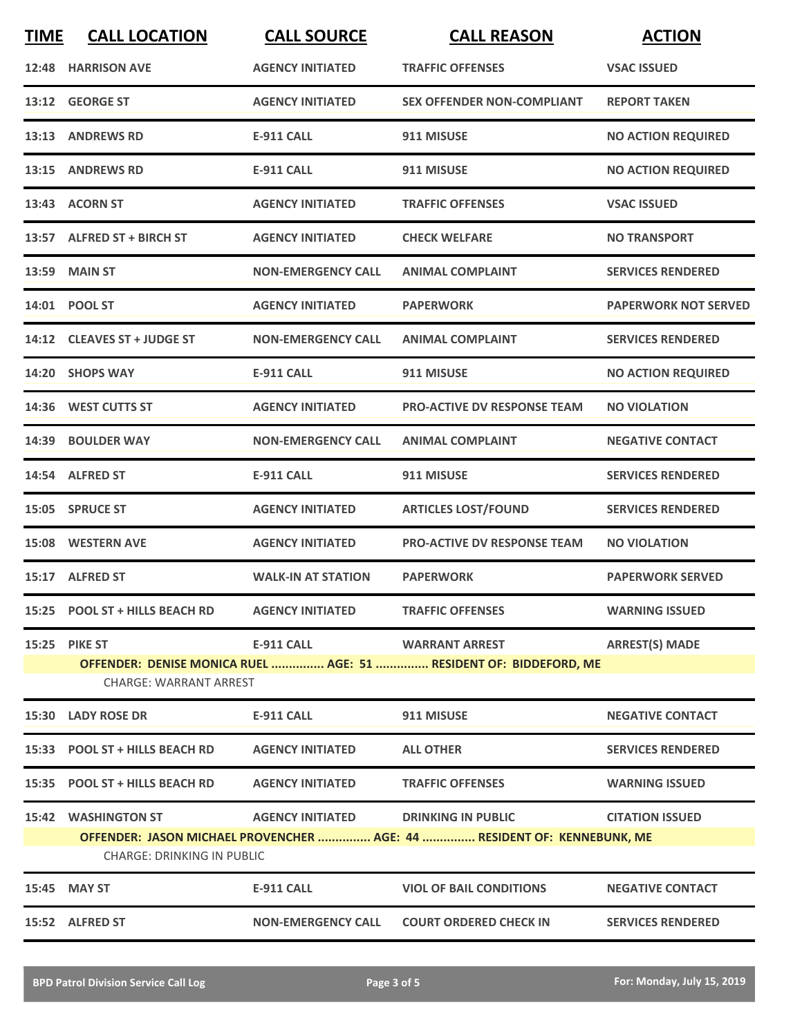| <b>TIME</b>                                                                                                  | <b>CALL LOCATION</b>                                                                               | <b>CALL SOURCE</b>        | <b>CALL REASON</b>                 | <b>ACTION</b>               |  |
|--------------------------------------------------------------------------------------------------------------|----------------------------------------------------------------------------------------------------|---------------------------|------------------------------------|-----------------------------|--|
|                                                                                                              | 12:48 HARRISON AVE                                                                                 | <b>AGENCY INITIATED</b>   | <b>TRAFFIC OFFENSES</b>            | <b>VSAC ISSUED</b>          |  |
|                                                                                                              | 13:12 GEORGE ST                                                                                    | <b>AGENCY INITIATED</b>   | <b>SEX OFFENDER NON-COMPLIANT</b>  | <b>REPORT TAKEN</b>         |  |
|                                                                                                              | 13:13 ANDREWS RD                                                                                   | <b>E-911 CALL</b>         | 911 MISUSE                         | <b>NO ACTION REQUIRED</b>   |  |
|                                                                                                              | 13:15 ANDREWS RD                                                                                   | E-911 CALL                | 911 MISUSE                         | <b>NO ACTION REQUIRED</b>   |  |
|                                                                                                              | 13:43 ACORN ST                                                                                     | <b>AGENCY INITIATED</b>   | <b>TRAFFIC OFFENSES</b>            | <b>VSAC ISSUED</b>          |  |
|                                                                                                              | 13:57 ALFRED ST + BIRCH ST                                                                         | <b>AGENCY INITIATED</b>   | <b>CHECK WELFARE</b>               | <b>NO TRANSPORT</b>         |  |
|                                                                                                              | 13:59 MAIN ST                                                                                      | <b>NON-EMERGENCY CALL</b> | <b>ANIMAL COMPLAINT</b>            | <b>SERVICES RENDERED</b>    |  |
|                                                                                                              | 14:01 POOL ST                                                                                      | <b>AGENCY INITIATED</b>   | <b>PAPERWORK</b>                   | <b>PAPERWORK NOT SERVED</b> |  |
|                                                                                                              | 14:12 CLEAVES ST + JUDGE ST                                                                        | <b>NON-EMERGENCY CALL</b> | <b>ANIMAL COMPLAINT</b>            | <b>SERVICES RENDERED</b>    |  |
|                                                                                                              | 14:20 SHOPS WAY                                                                                    | <b>E-911 CALL</b>         | 911 MISUSE                         | <b>NO ACTION REQUIRED</b>   |  |
|                                                                                                              | 14:36 WEST CUTTS ST                                                                                | <b>AGENCY INITIATED</b>   | <b>PRO-ACTIVE DV RESPONSE TEAM</b> | <b>NO VIOLATION</b>         |  |
| 14:39                                                                                                        | <b>BOULDER WAY</b>                                                                                 | <b>NON-EMERGENCY CALL</b> | <b>ANIMAL COMPLAINT</b>            | <b>NEGATIVE CONTACT</b>     |  |
|                                                                                                              | 14:54 ALFRED ST                                                                                    | <b>E-911 CALL</b>         | 911 MISUSE                         | <b>SERVICES RENDERED</b>    |  |
|                                                                                                              | 15:05 SPRUCE ST                                                                                    | <b>AGENCY INITIATED</b>   | <b>ARTICLES LOST/FOUND</b>         | <b>SERVICES RENDERED</b>    |  |
|                                                                                                              | 15:08 WESTERN AVE                                                                                  | <b>AGENCY INITIATED</b>   | <b>PRO-ACTIVE DV RESPONSE TEAM</b> | <b>NO VIOLATION</b>         |  |
|                                                                                                              | 15:17 ALFRED ST                                                                                    | <b>WALK-IN AT STATION</b> | <b>PAPERWORK</b>                   | <b>PAPERWORK SERVED</b>     |  |
|                                                                                                              | 15:25 POOL ST + HILLS BEACH RD                                                                     | <b>AGENCY INITIATED</b>   | <b>TRAFFIC OFFENSES</b>            | <b>WARNING ISSUED</b>       |  |
|                                                                                                              | 15:25 PIKE ST                                                                                      | <b>E-911 CALL</b>         | <b>WARRANT ARREST</b>              | <b>ARREST(S) MADE</b>       |  |
|                                                                                                              | OFFENDER: DENISE MONICA RUEL  AGE: 51  RESIDENT OF: BIDDEFORD, ME<br><b>CHARGE: WARRANT ARREST</b> |                           |                                    |                             |  |
|                                                                                                              | 15:30 LADY ROSE DR                                                                                 | <b>E-911 CALL</b>         | 911 MISUSE                         | <b>NEGATIVE CONTACT</b>     |  |
|                                                                                                              | 15:33 POOL ST + HILLS BEACH RD                                                                     | <b>AGENCY INITIATED</b>   | <b>ALL OTHER</b>                   | <b>SERVICES RENDERED</b>    |  |
|                                                                                                              | 15:35 POOL ST + HILLS BEACH RD                                                                     | <b>AGENCY INITIATED</b>   | <b>TRAFFIC OFFENSES</b>            | <b>WARNING ISSUED</b>       |  |
|                                                                                                              | <b>15:42 WASHINGTON ST</b>                                                                         | <b>AGENCY INITIATED</b>   | <b>DRINKING IN PUBLIC</b>          | <b>CITATION ISSUED</b>      |  |
| OFFENDER: JASON MICHAEL PROVENCHER  AGE: 44  RESIDENT OF: KENNEBUNK, ME<br><b>CHARGE: DRINKING IN PUBLIC</b> |                                                                                                    |                           |                                    |                             |  |
|                                                                                                              | 15:45 MAY ST                                                                                       | <b>E-911 CALL</b>         | <b>VIOL OF BAIL CONDITIONS</b>     | <b>NEGATIVE CONTACT</b>     |  |
|                                                                                                              | 15:52 ALFRED ST                                                                                    | <b>NON-EMERGENCY CALL</b> | <b>COURT ORDERED CHECK IN</b>      | <b>SERVICES RENDERED</b>    |  |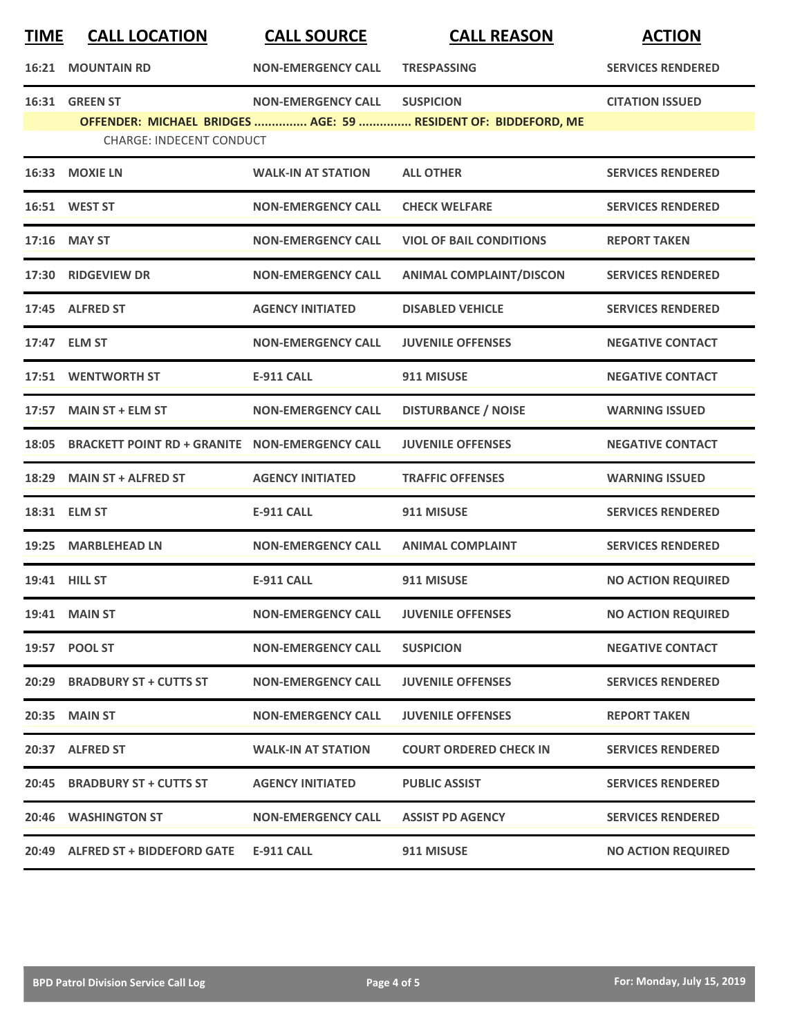| <u>TIME</u> | <b>CALL LOCATION</b>                                 | <b>CALL SOURCE</b>        | <b>CALL REASON</b>                                                                 | <b>ACTION</b>             |
|-------------|------------------------------------------------------|---------------------------|------------------------------------------------------------------------------------|---------------------------|
| 16:21       | <b>MOUNTAIN RD</b>                                   | <b>NON-EMERGENCY CALL</b> | <b>TRESPASSING</b>                                                                 | <b>SERVICES RENDERED</b>  |
|             | 16:31 GREEN ST<br><b>CHARGE: INDECENT CONDUCT</b>    | <b>NON-EMERGENCY CALL</b> | <b>SUSPICION</b><br>OFFENDER: MICHAEL BRIDGES  AGE: 59  RESIDENT OF: BIDDEFORD, ME | <b>CITATION ISSUED</b>    |
|             | 16:33 MOXIE LN                                       | <b>WALK-IN AT STATION</b> | <b>ALL OTHER</b>                                                                   | <b>SERVICES RENDERED</b>  |
|             | 16:51 WEST ST                                        | <b>NON-EMERGENCY CALL</b> | <b>CHECK WELFARE</b>                                                               | <b>SERVICES RENDERED</b>  |
|             | 17:16 MAY ST                                         | <b>NON-EMERGENCY CALL</b> | <b>VIOL OF BAIL CONDITIONS</b>                                                     | <b>REPORT TAKEN</b>       |
|             | 17:30 RIDGEVIEW DR                                   | <b>NON-EMERGENCY CALL</b> | <b>ANIMAL COMPLAINT/DISCON</b>                                                     | <b>SERVICES RENDERED</b>  |
|             | 17:45 ALFRED ST                                      | <b>AGENCY INITIATED</b>   | <b>DISABLED VEHICLE</b>                                                            | <b>SERVICES RENDERED</b>  |
|             | 17:47 ELM ST                                         | <b>NON-EMERGENCY CALL</b> | <b>JUVENILE OFFENSES</b>                                                           | <b>NEGATIVE CONTACT</b>   |
|             | 17:51 WENTWORTH ST                                   | E-911 CALL                | 911 MISUSE                                                                         | <b>NEGATIVE CONTACT</b>   |
|             | 17:57 MAIN ST + ELM ST                               | <b>NON-EMERGENCY CALL</b> | <b>DISTURBANCE / NOISE</b>                                                         | <b>WARNING ISSUED</b>     |
|             | 18:05 BRACKETT POINT RD + GRANITE NON-EMERGENCY CALL |                           | <b>JUVENILE OFFENSES</b>                                                           | <b>NEGATIVE CONTACT</b>   |
| 18:29       | <b>MAIN ST + ALFRED ST</b>                           | <b>AGENCY INITIATED</b>   | <b>TRAFFIC OFFENSES</b>                                                            | <b>WARNING ISSUED</b>     |
|             | 18:31 ELM ST                                         | <b>E-911 CALL</b>         | 911 MISUSE                                                                         | <b>SERVICES RENDERED</b>  |
| 19:25       | <b>MARBLEHEAD LN</b>                                 | <b>NON-EMERGENCY CALL</b> | <b>ANIMAL COMPLAINT</b>                                                            | <b>SERVICES RENDERED</b>  |
|             | <b>19:41 HILL ST</b>                                 | <b>E-911 CALL</b>         | 911 MISUSE                                                                         | <b>NO ACTION REQUIRED</b> |
|             | 19:41 MAIN ST                                        | <b>NON-EMERGENCY CALL</b> | <b>JUVENILE OFFENSES</b>                                                           | <b>NO ACTION REQUIRED</b> |
|             | 19:57 POOL ST                                        | <b>NON-EMERGENCY CALL</b> | <b>SUSPICION</b>                                                                   | <b>NEGATIVE CONTACT</b>   |
|             | 20:29 BRADBURY ST + CUTTS ST                         | <b>NON-EMERGENCY CALL</b> | <b>JUVENILE OFFENSES</b>                                                           | <b>SERVICES RENDERED</b>  |
|             | 20:35 MAIN ST                                        | <b>NON-EMERGENCY CALL</b> | <b>JUVENILE OFFENSES</b>                                                           | <b>REPORT TAKEN</b>       |
|             | 20:37 ALFRED ST                                      | <b>WALK-IN AT STATION</b> | <b>COURT ORDERED CHECK IN</b>                                                      | <b>SERVICES RENDERED</b>  |
|             | 20:45 BRADBURY ST + CUTTS ST                         | <b>AGENCY INITIATED</b>   | <b>PUBLIC ASSIST</b>                                                               | <b>SERVICES RENDERED</b>  |
|             | 20:46 WASHINGTON ST                                  | <b>NON-EMERGENCY CALL</b> | <b>ASSIST PD AGENCY</b>                                                            | <b>SERVICES RENDERED</b>  |
|             | 20:49 ALFRED ST + BIDDEFORD GATE                     | E-911 CALL                | 911 MISUSE                                                                         | <b>NO ACTION REQUIRED</b> |